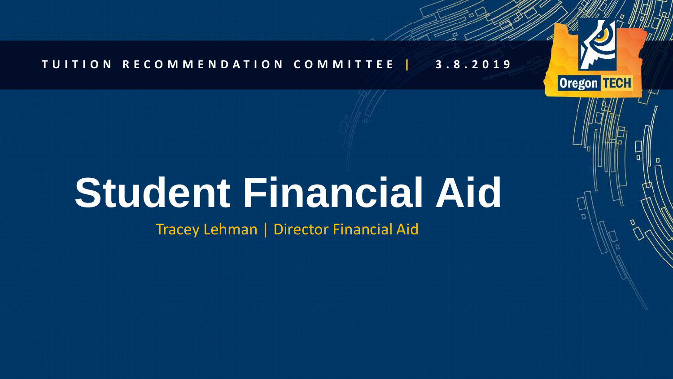### **TUITION RECOMMENDATION COMMITTEE | 3.8.2019**

**Oregon TECH** 

# **Student Financial Aid**

Tracey Lehman | Director Financial Aid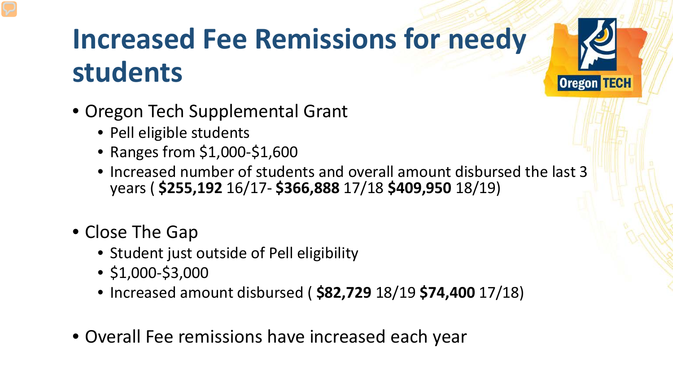# **Increased Fee Remissions for needy students**

- Oregon Tech Supplemental Grant
	- Pell eligible students
	- Ranges from \$1,000-\$1,600
	- Increased number of students and overall amount disbursed the last 3 years ( **\$255,192** 16/17- **\$366,888** 17/18 **\$409,950** 18/19)

**Oregon TECH** 

- Close The Gap
	- Student just outside of Pell eligibility
	- \$1,000-\$3,000
	- Increased amount disbursed ( **\$82,729** 18/19 **\$74,400** 17/18)
- Overall Fee remissions have increased each year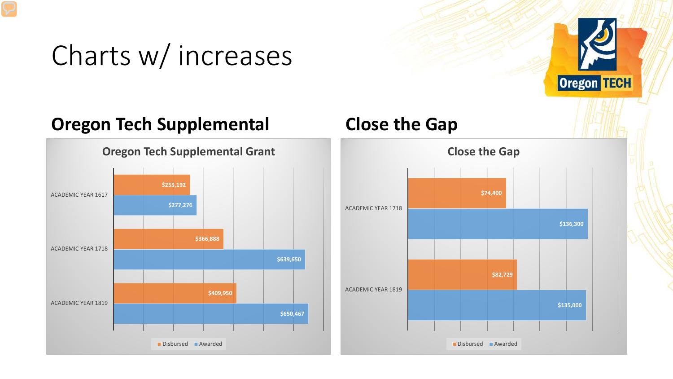### Charts w/ increases

### **Oregon Tech Supplemental Close the Gap**





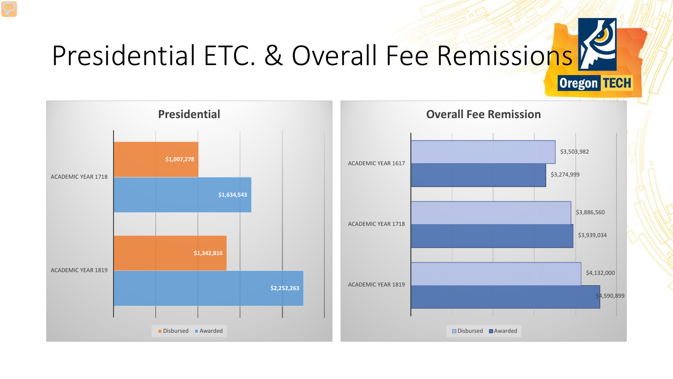# **Oregon TECH**

# Presidential ETC. & Overall Fee Remissions

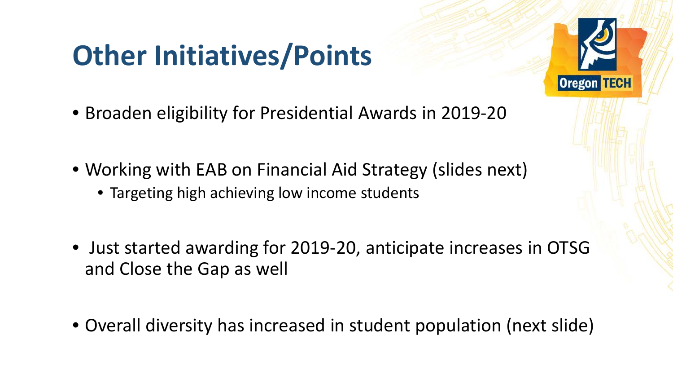## **Other Initiatives/Points**

- Broaden eligibility for Presidential Awards in 2019-20
- Working with EAB on Financial Aid Strategy (slides next)
	- Targeting high achieving low income students
- Just started awarding for 2019-20, anticipate increases in OTSG and Close the Gap as well
- Overall diversity has increased in student population (next slide)

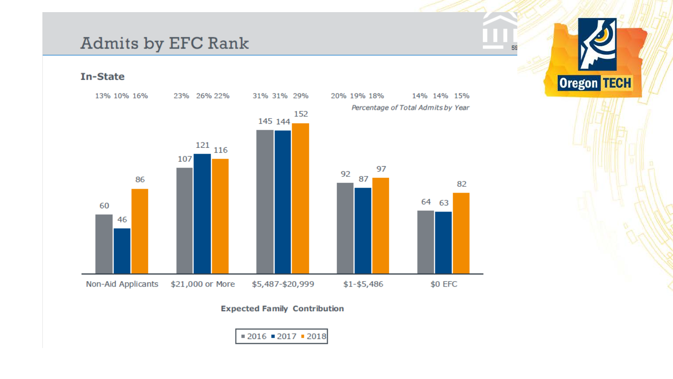### Admits by EFC Rank

**In-State** 



 $E($ 

**Oregon TECH** 

### **Expected Family Contribution**

 $= 2016 = 2017 = 2018$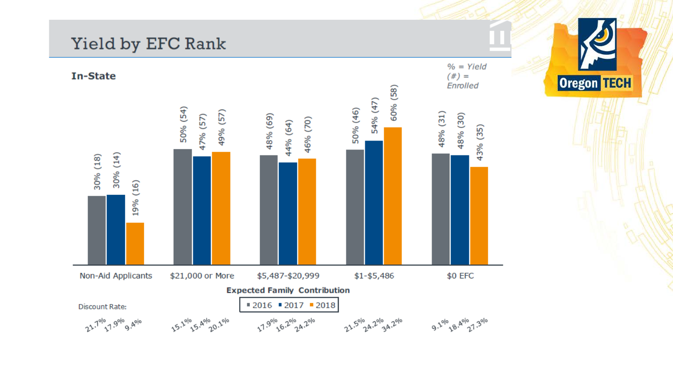